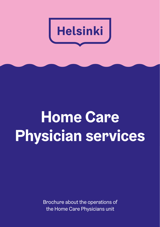

## **Home Care Physician services**

Brochure about the operations of the Home Care Physicians unit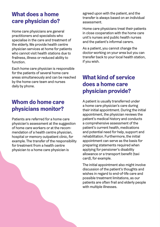## **What does a home care physician do?**

Home care physicians are general practitioners and specialists who specialise in the care and treatment of the elderly. We provide health centre physician services at home for patients who cannot visit health stations due to frailness, illness or reduced ability to function.

Each home care physician is responsible for the patients of several home care areas simultaneously and can be reached by the home care team and nurses daily by phone.

## **Whom do home care physicians monitor?**

Patients are referred for a home care physician's assessment at the suggestion of home care workers or at the recommendation of a health centre physician, hospital or memory outpatient clinic, for example. The transfer of the responsibility for treatment from a health centre physician to a home care physician is

agreed upon with the patient, and the transfer is always based on an individual assessment.

Home care physicians treat their patients in close cooperation with the home care unit's nurses and public health nurses and the patient's informal carers.

As a patient, you cannot change the doctor working on your area but you can transfer back to your local health station, if you wish.

## **What kind of service does a home care physician provide?**

A patient is usually transferred under a home care physician's care during their initial appointment. During the initial appointment, the physician reviews the patient's medical history and conducts a comprehensive assessment of the patient's current health, medications and potential need for help, support and rehabilitation. Furthermore, the initial appointment can serve as the basis for preparing statements required when applying for pensioner's disability allowance or a transport benefit (taxi card), for example.

The initial appointment also might involve discussion of the patient's thoughts and wishes in regard to end-of-life care and possible treatment limitations, as our patients are often frail and elderly people with multiple illnesses.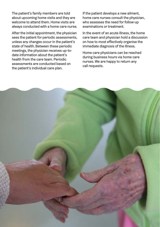The patient's family members are told about upcoming home visits and they are welcome to attend them. Home visits are always conducted with a home care nurse.

After the initial appointment, the physician sees the patient for periodic assessments, unless any changes occur in the patient's state of health. Between these periodic meetings, the physician receives up-todate information about the patient's health from the care team. Periodic assessments are conducted based on the patient's individual care plan.

If the patient develops a new ailment, home care nurses consult the physician, who assesses the need for follow-up examinations or treatment.

In the event of an acute illness, the home care team and physician hold a discussion on how to most effectively organise the immediate diagnosis of the illness.

Home care physicians can be reached during business hours via home care nurses. We are happy to return any call requests.